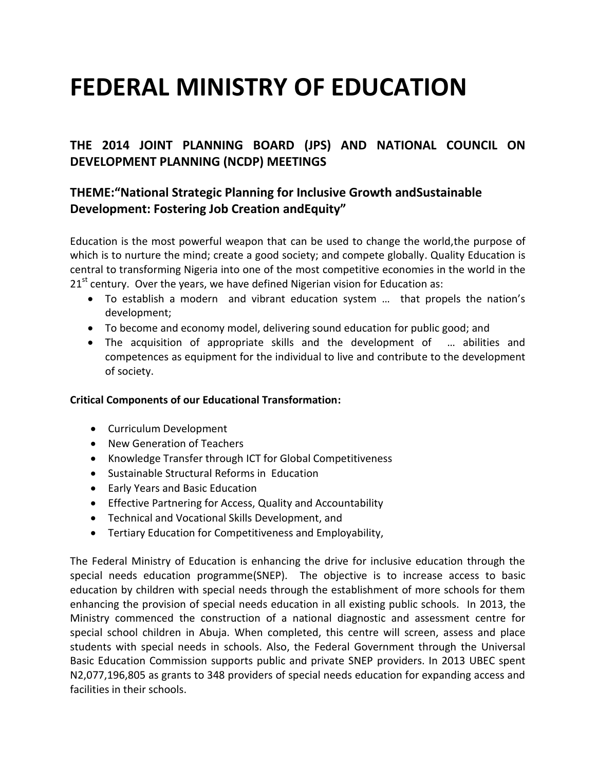# **FEDERAL MINISTRY OF EDUCATION**

# **THE 2014 JOINT PLANNING BOARD (JPS) AND NATIONAL COUNCIL ON DEVELOPMENT PLANNING (NCDP) MEETINGS**

# **THEME:"National Strategic Planning for Inclusive Growth andSustainable Development: Fostering Job Creation andEquity"**

Education is the most powerful weapon that can be used to change the world,the purpose of which is to nurture the mind; create a good society; and compete globally. Quality Education is central to transforming Nigeria into one of the most competitive economies in the world in the  $21<sup>st</sup>$  century. Over the years, we have defined Nigerian vision for Education as:

- To establish a modern and vibrant education system … that propels the nation's development;
- To become and economy model, delivering sound education for public good; and
- The acquisition of appropriate skills and the development of … abilities and competences as equipment for the individual to live and contribute to the development of society.

## **Critical Components of our Educational Transformation:**

- Curriculum Development
- New Generation of Teachers
- Knowledge Transfer through ICT for Global Competitiveness
- Sustainable Structural Reforms in Education
- Early Years and Basic Education
- Effective Partnering for Access, Quality and Accountability
- Technical and Vocational Skills Development, and
- Tertiary Education for Competitiveness and Employability,

The Federal Ministry of Education is enhancing the drive for inclusive education through the special needs education programme(SNEP). The objective is to increase access to basic education by children with special needs through the establishment of more schools for them enhancing the provision of special needs education in all existing public schools. In 2013, the Ministry commenced the construction of a national diagnostic and assessment centre for special school children in Abuja. When completed, this centre will screen, assess and place students with special needs in schools. Also, the Federal Government through the Universal Basic Education Commission supports public and private SNEP providers. In 2013 UBEC spent N2,077,196,805 as grants to 348 providers of special needs education for expanding access and facilities in their schools.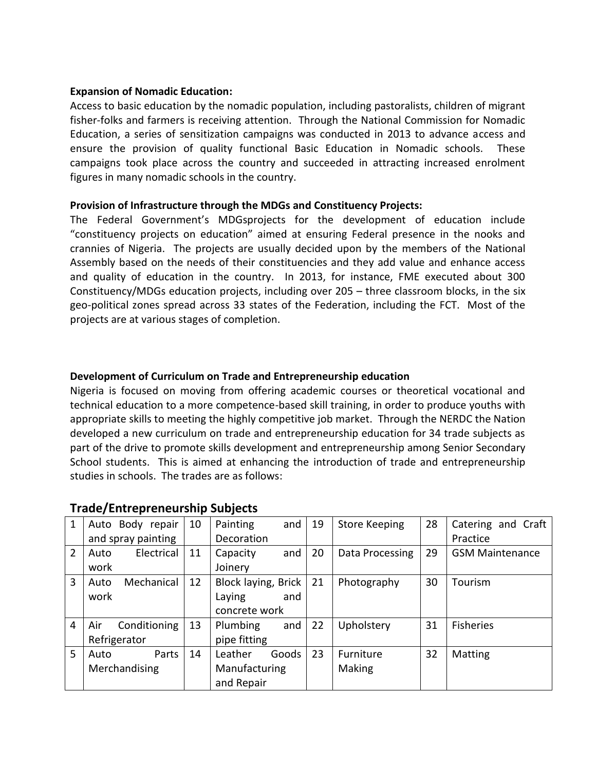#### **Expansion of Nomadic Education:**

Access to basic education by the nomadic population, including pastoralists, children of migrant fisher-folks and farmers is receiving attention. Through the National Commission for Nomadic Education, a series of sensitization campaigns was conducted in 2013 to advance access and ensure the provision of quality functional Basic Education in Nomadic schools. These campaigns took place across the country and succeeded in attracting increased enrolment figures in many nomadic schools in the country.

#### **Provision of Infrastructure through the MDGs and Constituency Projects:**

The Federal Government's MDGsprojects for the development of education include "constituency projects on education" aimed at ensuring Federal presence in the nooks and crannies of Nigeria. The projects are usually decided upon by the members of the National Assembly based on the needs of their constituencies and they add value and enhance access and quality of education in the country. In 2013, for instance, FME executed about 300 Constituency/MDGs education projects, including over 205 – three classroom blocks, in the six geo-political zones spread across 33 states of the Federation, including the FCT. Most of the projects are at various stages of completion.

#### **Development of Curriculum on Trade and Entrepreneurship education**

Nigeria is focused on moving from offering academic courses or theoretical vocational and technical education to a more competence-based skill training, in order to produce youths with appropriate skills to meeting the highly competitive job market. Through the NERDC the Nation developed a new curriculum on trade and entrepreneurship education for 34 trade subjects as part of the drive to promote skills development and entrepreneurship among Senior Secondary School students. This is aimed at enhancing the introduction of trade and entrepreneurship studies in schools. The trades are as follows:

| 1              | Auto Body repair    | 10           | Painting            | and   | 19 | <b>Store Keeping</b> | 28 | Catering and Craft     |
|----------------|---------------------|--------------|---------------------|-------|----|----------------------|----|------------------------|
|                | and spray painting  |              | Decoration          |       |    |                      |    | Practice               |
| $\overline{2}$ | Electrical<br>Auto  | 11           | Capacity            | and   | 20 | Data Processing      | 29 | <b>GSM Maintenance</b> |
|                | work                |              | Joinery             |       |    |                      |    |                        |
| 3              | Mechanical<br>Auto  | 12           | Block laying, Brick |       | 21 | Photography          | 30 | Tourism                |
|                | work                |              | Laying              | and   |    |                      |    |                        |
|                |                     |              | concrete work       |       |    |                      |    |                        |
| 4              | Air<br>Conditioning | 13           | Plumbing            | and   | 22 | Upholstery           | 31 | <b>Fisheries</b>       |
|                | Refrigerator        | pipe fitting |                     |       |    |                      |    |                        |
| 5              | Parts<br>Auto       | 14           | Leather             | Goods | 23 | Furniture            | 32 | <b>Matting</b>         |
|                | Merchandising       |              | Manufacturing       |       |    | Making               |    |                        |
|                |                     |              | and Repair          |       |    |                      |    |                        |

## **Trade/Entrepreneurship Subjects**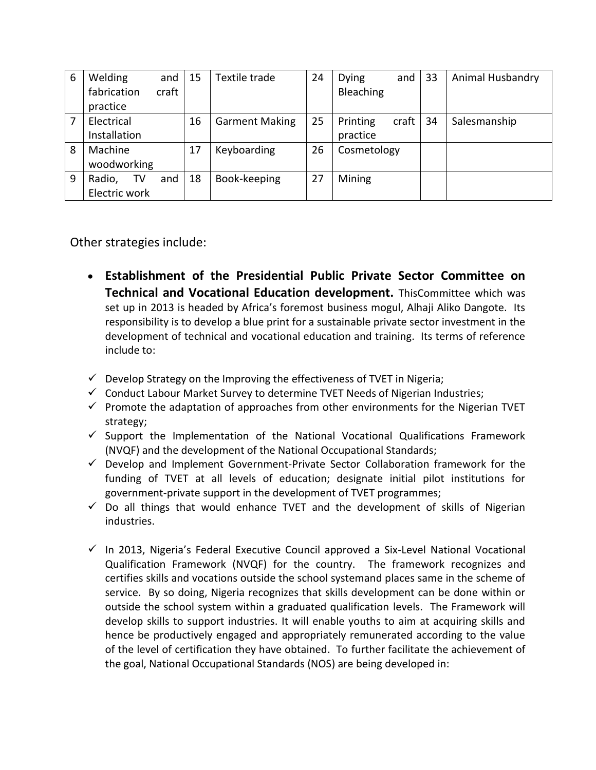| 6 | Welding              |    | and | 15          | Textile trade         | 24          | <b>Dying</b> | and   | 33 | Animal Husbandry |
|---|----------------------|----|-----|-------------|-----------------------|-------------|--------------|-------|----|------------------|
|   | craft<br>fabrication |    |     |             |                       | Bleaching   |              |       |    |                  |
|   | practice             |    |     |             |                       |             |              |       |    |                  |
|   | Electrical           |    |     | 16          | <b>Garment Making</b> | 25          | Printing     | craft | 34 | Salesmanship     |
|   | Installation         |    |     |             |                       |             | practice     |       |    |                  |
| 8 | Machine              |    | 17  | Keyboarding | 26                    | Cosmetology |              |       |    |                  |
|   | woodworking          |    |     |             |                       |             |              |       |    |                  |
| 9 | Radio,               | TV | and | 18          | Book-keeping          | 27          | Mining       |       |    |                  |
|   | Electric work        |    |     |             |                       |             |              |       |    |                  |

Other strategies include:

- **Establishment of the Presidential Public Private Sector Committee on Technical and Vocational Education development.** ThisCommittee which was set up in 2013 is headed by Africa's foremost business mogul, Alhaji Aliko Dangote. Its responsibility is to develop a blue print for a sustainable private sector investment in the development of technical and vocational education and training. Its terms of reference include to:
- $\checkmark$  Develop Strategy on the Improving the effectiveness of TVET in Nigeria;
- $\checkmark$  Conduct Labour Market Survey to determine TVET Needs of Nigerian Industries;
- $\checkmark$  Promote the adaptation of approaches from other environments for the Nigerian TVET strategy;
- $\checkmark$  Support the Implementation of the National Vocational Qualifications Framework (NVQF) and the development of the National Occupational Standards;
- $\checkmark$  Develop and Implement Government-Private Sector Collaboration framework for the funding of TVET at all levels of education; designate initial pilot institutions for government-private support in the development of TVET programmes;
- $\checkmark$  Do all things that would enhance TVET and the development of skills of Nigerian industries.
- $\checkmark$  In 2013, Nigeria's Federal Executive Council approved a Six-Level National Vocational Qualification Framework (NVQF) for the country. The framework recognizes and certifies skills and vocations outside the school systemand places same in the scheme of service. By so doing, Nigeria recognizes that skills development can be done within or outside the school system within a graduated qualification levels. The Framework will develop skills to support industries. It will enable youths to aim at acquiring skills and hence be productively engaged and appropriately remunerated according to the value of the level of certification they have obtained. To further facilitate the achievement of the goal, National Occupational Standards (NOS) are being developed in: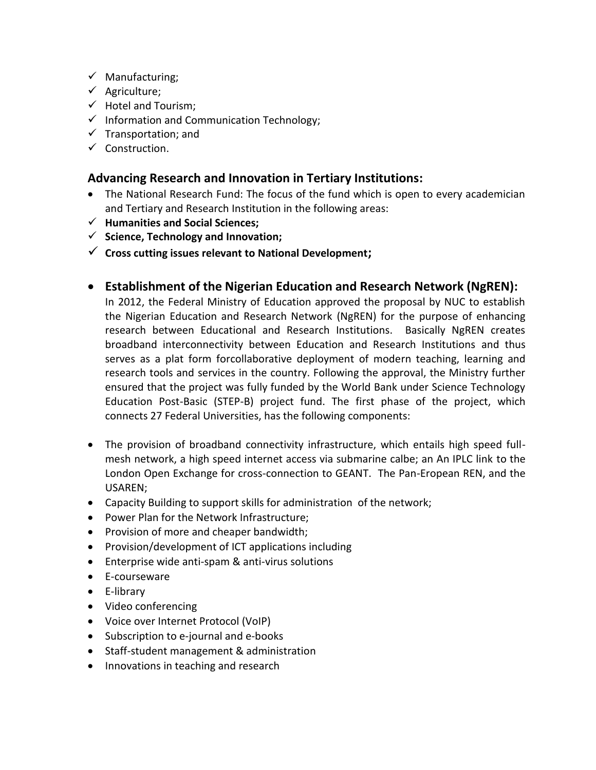- $\checkmark$  Manufacturing;
- $\checkmark$  Agriculture;
- $\checkmark$  Hotel and Tourism;
- $\checkmark$  Information and Communication Technology;
- $\checkmark$  Transportation; and
- $\checkmark$  Construction.

## **Advancing Research and Innovation in Tertiary Institutions:**

- The National Research Fund: The focus of the fund which is open to every academician and Tertiary and Research Institution in the following areas:
- **Humanities and Social Sciences;**
- **Science, Technology and Innovation;**
- **Cross cutting issues relevant to National Development;**
- **Establishment of the Nigerian Education and Research Network (NgREN):**

In 2012, the Federal Ministry of Education approved the proposal by NUC to establish the Nigerian Education and Research Network (NgREN) for the purpose of enhancing research between Educational and Research Institutions. Basically NgREN creates broadband interconnectivity between Education and Research Institutions and thus serves as a plat form forcollaborative deployment of modern teaching, learning and research tools and services in the country. Following the approval, the Ministry further ensured that the project was fully funded by the World Bank under Science Technology Education Post-Basic (STEP-B) project fund. The first phase of the project, which connects 27 Federal Universities, has the following components:

- The provision of broadband connectivity infrastructure, which entails high speed fullmesh network, a high speed internet access via submarine calbe; an An IPLC link to the London Open Exchange for cross-connection to GEANT. The Pan-Eropean REN, and the USAREN;
- Capacity Building to support skills for administration of the network;
- Power Plan for the Network Infrastructure;
- Provision of more and cheaper bandwidth;
- Provision/development of ICT applications including
- Enterprise wide anti-spam & anti-virus solutions
- E-courseware
- E-library
- Video conferencing
- Voice over Internet Protocol (VoIP)
- Subscription to e-journal and e-books
- Staff-student management & administration
- Innovations in teaching and research